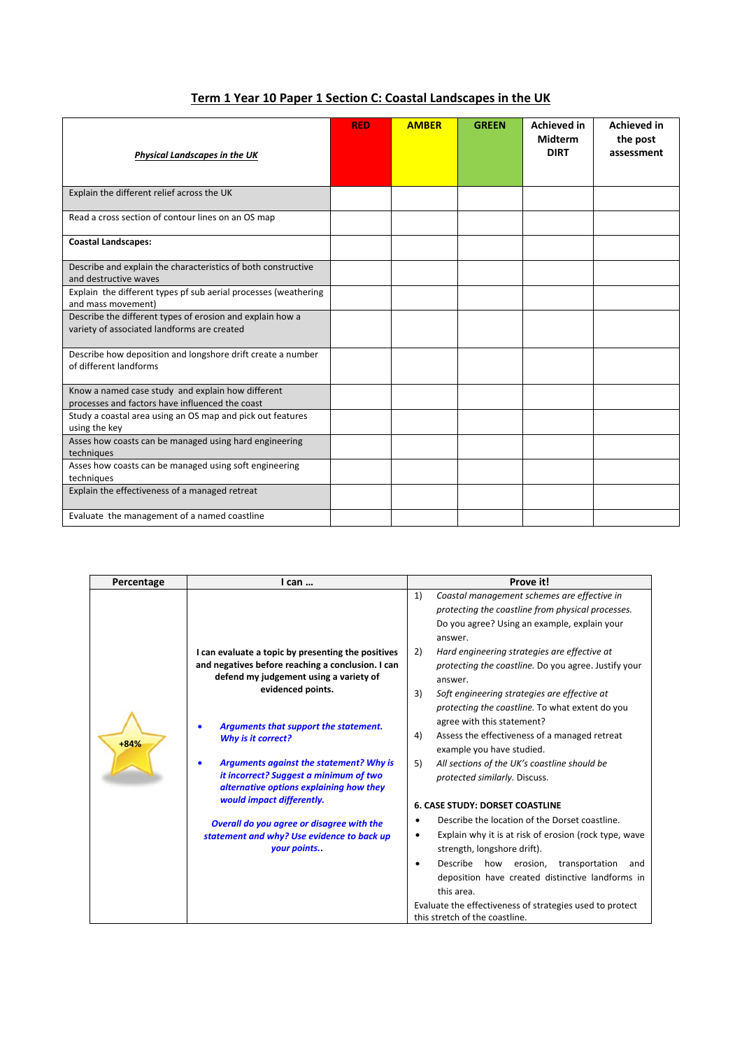| <b>Physical Landscapes in the UK</b>                                                                     | <b>RED</b> | <b>AMBER</b> | <b>GREEN</b> | <b>Achieved in</b><br><b>Midterm</b><br><b>DIRT</b> | <b>Achieved in</b><br>the post<br>assessment |
|----------------------------------------------------------------------------------------------------------|------------|--------------|--------------|-----------------------------------------------------|----------------------------------------------|
| Explain the different relief across the UK                                                               |            |              |              |                                                     |                                              |
| Read a cross section of contour lines on an OS map                                                       |            |              |              |                                                     |                                              |
| <b>Coastal Landscapes:</b>                                                                               |            |              |              |                                                     |                                              |
| Describe and explain the characteristics of both constructive<br>and destructive waves                   |            |              |              |                                                     |                                              |
| Explain the different types pf sub aerial processes (weathering<br>and mass movement)                    |            |              |              |                                                     |                                              |
| Describe the different types of erosion and explain how a<br>variety of associated landforms are created |            |              |              |                                                     |                                              |
| Describe how deposition and longshore drift create a number<br>of different landforms                    |            |              |              |                                                     |                                              |
| Know a named case study and explain how different<br>processes and factors have influenced the coast     |            |              |              |                                                     |                                              |
| Study a coastal area using an OS map and pick out features<br>using the key                              |            |              |              |                                                     |                                              |
| Asses how coasts can be managed using hard engineering<br>techniques                                     |            |              |              |                                                     |                                              |
| Asses how coasts can be managed using soft engineering<br>techniques                                     |            |              |              |                                                     |                                              |
| Explain the effectiveness of a managed retreat                                                           |            |              |              |                                                     |                                              |
| Evaluate the management of a named coastline                                                             |            |              |              |                                                     |                                              |

## **Term 1 Year 10 Paper 1 Section C: Coastal Landscapes in the UK**

| Coastal management schemes are effective in<br>1)        |  |  |  |  |
|----------------------------------------------------------|--|--|--|--|
| protecting the coastline from physical processes.        |  |  |  |  |
| Do you agree? Using an example, explain your             |  |  |  |  |
|                                                          |  |  |  |  |
| Hard engineering strategies are effective at             |  |  |  |  |
| protecting the coastline. Do you agree. Justify your     |  |  |  |  |
| answer.                                                  |  |  |  |  |
| Soft engineering strategies are effective at             |  |  |  |  |
| protecting the coastline. To what extent do you          |  |  |  |  |
|                                                          |  |  |  |  |
| Assess the effectiveness of a managed retreat            |  |  |  |  |
| example you have studied.                                |  |  |  |  |
| All sections of the UK's coastline should be             |  |  |  |  |
|                                                          |  |  |  |  |
|                                                          |  |  |  |  |
| <b>6. CASE STUDY: DORSET COASTLINE</b>                   |  |  |  |  |
| Describe the location of the Dorset coastline.           |  |  |  |  |
| Explain why it is at risk of erosion (rock type, wave    |  |  |  |  |
|                                                          |  |  |  |  |
| Describe how erosion,<br>transportation<br>and           |  |  |  |  |
| deposition have created distinctive landforms in         |  |  |  |  |
|                                                          |  |  |  |  |
| Evaluate the effectiveness of strategies used to protect |  |  |  |  |
|                                                          |  |  |  |  |
| protected similarly. Discuss.                            |  |  |  |  |